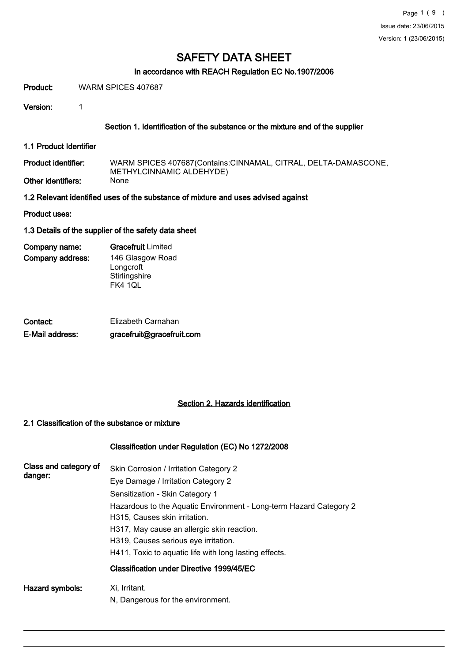#### In accordance with REACH Regulation EC No.1907/2006

Product: WARM SPICES 407687

Version: 1

#### Section 1. Identification of the substance or the mixture and of the supplier

1.1 Product Identifier

WARM SPICES 407687(Contains:CINNAMAL, CITRAL, DELTA-DAMASCONE, METHYLCINNAMIC ALDEHYDE)<br>None Product identifier: Other identifiers:

1.2 Relevant identified uses of the substance of mixture and uses advised against

Product uses:

1.3 Details of the supplier of the safety data sheet

| Company name:    | <b>Gracefruit</b> Limited |
|------------------|---------------------------|
| Company address: | 146 Glasgow Road          |
|                  | Longcroft                 |
|                  | Stirlingshire             |
|                  | FK4 1QL                   |

| Contact:        | Elizabeth Carnahan        |
|-----------------|---------------------------|
| E-Mail address: | gracefruit@gracefruit.com |

# Section 2. Hazards identification

#### 2.1 Classification of the substance or mixture

#### Classification under Regulation (EC) No 1272/2008

| Class and category of<br>danger: | Skin Corrosion / Irritation Category 2<br>Eye Damage / Irritation Category 2<br>Sensitization - Skin Category 1<br>Hazardous to the Aquatic Environment - Long-term Hazard Category 2<br>H315, Causes skin irritation.<br>H317, May cause an allergic skin reaction.<br>H319, Causes serious eye irritation.<br>H411, Toxic to aquatic life with long lasting effects.<br>Classification under Directive 1999/45/EC |
|----------------------------------|---------------------------------------------------------------------------------------------------------------------------------------------------------------------------------------------------------------------------------------------------------------------------------------------------------------------------------------------------------------------------------------------------------------------|
| Hazard symbols:                  | Xi, Irritant.<br>N, Dangerous for the environment.                                                                                                                                                                                                                                                                                                                                                                  |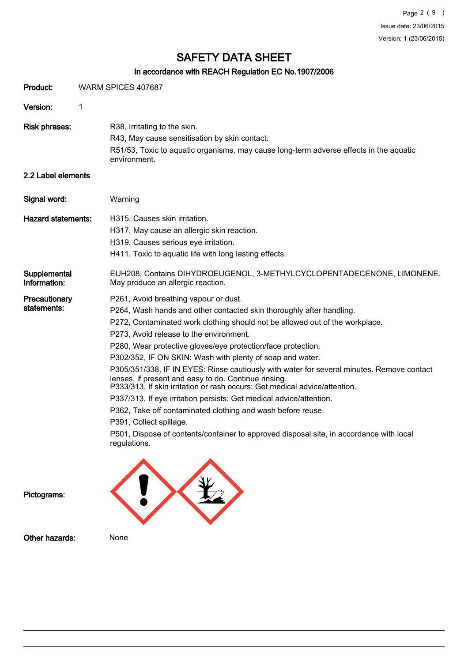# In accordance with REACH Regulation EC No.1907/2006

| Product:                     | WARM SPICES 407687                                                                                                                                                                                                                                                                                                                                                                                                                                                                                                                                                                                                                                                                                                                                                                                                                                                                   |  |
|------------------------------|--------------------------------------------------------------------------------------------------------------------------------------------------------------------------------------------------------------------------------------------------------------------------------------------------------------------------------------------------------------------------------------------------------------------------------------------------------------------------------------------------------------------------------------------------------------------------------------------------------------------------------------------------------------------------------------------------------------------------------------------------------------------------------------------------------------------------------------------------------------------------------------|--|
| Version:                     | 1                                                                                                                                                                                                                                                                                                                                                                                                                                                                                                                                                                                                                                                                                                                                                                                                                                                                                    |  |
| <b>Risk phrases:</b>         | R38, Irritating to the skin.<br>R43, May cause sensitisation by skin contact.<br>R51/53, Toxic to aquatic organisms, may cause long-term adverse effects in the aquatic<br>environment.                                                                                                                                                                                                                                                                                                                                                                                                                                                                                                                                                                                                                                                                                              |  |
| 2.2 Label elements           |                                                                                                                                                                                                                                                                                                                                                                                                                                                                                                                                                                                                                                                                                                                                                                                                                                                                                      |  |
| Signal word:                 | Warning                                                                                                                                                                                                                                                                                                                                                                                                                                                                                                                                                                                                                                                                                                                                                                                                                                                                              |  |
| <b>Hazard statements:</b>    | H315, Causes skin irritation.<br>H317, May cause an allergic skin reaction.<br>H319, Causes serious eye irritation.<br>H411, Toxic to aquatic life with long lasting effects.                                                                                                                                                                                                                                                                                                                                                                                                                                                                                                                                                                                                                                                                                                        |  |
| Supplemental<br>Information: | EUH208, Contains DIHYDROEUGENOL, 3-METHYLCYCLOPENTADECENONE, LIMONENE.<br>May produce an allergic reaction.                                                                                                                                                                                                                                                                                                                                                                                                                                                                                                                                                                                                                                                                                                                                                                          |  |
| Precautionary<br>statements: | P261, Avoid breathing vapour or dust.<br>P264, Wash hands and other contacted skin thoroughly after handling.<br>P272, Contaminated work clothing should not be allowed out of the workplace.<br>P273, Avoid release to the environment.<br>P280, Wear protective gloves/eye protection/face protection.<br>P302/352, IF ON SKIN: Wash with plenty of soap and water.<br>P305/351/338, IF IN EYES: Rinse cautiously with water for several minutes. Remove contact<br>lenses, if present and easy to do. Continue rinsing.<br>P333/313, If skin irritation or rash occurs: Get medical advice/attention.<br>P337/313, If eye irritation persists: Get medical advice/attention.<br>P362, Take off contaminated clothing and wash before reuse.<br>P391, Collect spillage.<br>P501, Dispose of contents/container to approved disposal site, in accordance with local<br>regulations. |  |
| Pictograms:                  |                                                                                                                                                                                                                                                                                                                                                                                                                                                                                                                                                                                                                                                                                                                                                                                                                                                                                      |  |

Other hazards: None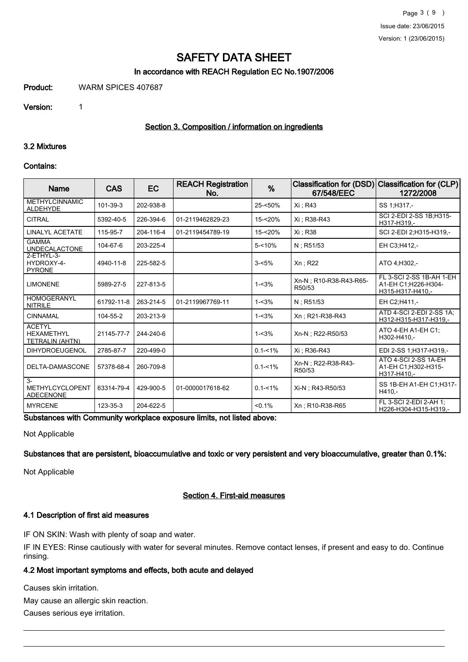#### In accordance with REACH Regulation EC No.1907/2006

Product: WARM SPICES 407687

Version: 1

#### Section 3. Composition / information on ingredients

#### 3.2 Mixtures

#### Contains:

| Name                                                         | <b>CAS</b> | <b>EC</b> | <b>REACH Registration</b><br>No. | $\frac{9}{6}$ | Classification for (DSD)<br>67/548/EEC | <b>Classification for (CLP)</b><br>1272/2008                        |
|--------------------------------------------------------------|------------|-----------|----------------------------------|---------------|----------------------------------------|---------------------------------------------------------------------|
| <b>METHYLCINNAMIC</b><br>ALDEHYDE                            | 101-39-3   | 202-938-8 |                                  | 25-<50%       | Xi ; R43                               | SS 1:H317 .-                                                        |
| <b>CITRAL</b>                                                | 5392-40-5  | 226-394-6 | 01-2119462829-23                 | 15-<20%       | Xi : R38-R43                           | SCI 2-EDI 2-SS 1B;H315-<br>H317-H319.-                              |
| <b>LINALYL ACETATE</b>                                       | 115-95-7   | 204-116-4 | 01-2119454789-19                 | 15-<20%       | Xi: R38                                | SCI 2-EDI 2:H315-H319.-                                             |
| <b>GAMMA</b><br><b>UNDECALACTONE</b>                         | 104-67-6   | 203-225-4 |                                  | $5 - 10%$     | $N:$ R51/53                            | EH C3;H412,-                                                        |
| 2-ETHYL-3-<br>HYDROXY-4-<br><b>PYRONE</b>                    | 4940-11-8  | 225-582-5 |                                  | $3 - 5%$      | $Xn$ ; R22                             | ATO 4:H302,-                                                        |
| <b>LIMONENE</b>                                              | 5989-27-5  | 227-813-5 |                                  | $1 - 3%$      | Xn-N : R10-R38-R43-R65-<br>R50/53      | FL 3-SCI 2-SS 1B-AH 1-EH<br>A1-EH C1:H226-H304-<br>H315-H317-H410.- |
| <b>HOMOGERANYL</b><br><b>NITRILE</b>                         | 61792-11-8 | 263-214-5 | 01-2119967769-11                 | $1 - 3%$      | $N:$ R51/53                            | EH C2:H411 -                                                        |
| <b>CINNAMAL</b>                                              | 104-55-2   | 203-213-9 |                                  | $1 - 3%$      | Xn: R21-R38-R43                        | ATD 4-SCI 2-EDI 2-SS 1A:<br>H312-H315-H317-H319.-                   |
| <b>ACETYL</b><br><b>HEXAMETHYL</b><br>TETRALIN (AHTN)        | 21145-77-7 | 244-240-6 |                                  | $1 - 3%$      | Xn-N : R22-R50/53                      | ATO 4-EH A1-EH C1;<br>H302-H410,-                                   |
| <b>DIHYDROEUGENOL</b>                                        | 2785-87-7  | 220-499-0 |                                  | $0.1 - 1\%$   | Xi : R36-R43                           | EDI 2-SS 1:H317-H319,-                                              |
| DELTA-DAMASCONE                                              | 57378-68-4 | 260-709-8 |                                  | $0.1 - 1\%$   | Xn-N : R22-R38-R43-<br>R50/53          | ATO 4-SCI 2-SS 1A-EH<br>A1-EH C1:H302-H315-<br>H317-H410.-          |
| $\overline{3}$<br><b>METHYLCYCLOPENT</b><br><b>ADECENONE</b> | 63314-79-4 | 429-900-5 | 01-0000017618-62                 | $0.1 - 1\%$   | Xi-N ; R43-R50/53                      | SS 1B-EH A1-EH C1:H317-<br>H410.-                                   |
| <b>MYRCENE</b>                                               | 123-35-3   | 204-622-5 |                                  | $< 0.1\%$     | Xn: R10-R38-R65                        | FL 3-SCI 2-EDI 2-AH 1:<br>H226-H304-H315-H319,-                     |

Substances with Community workplace exposure limits, not listed above:

Not Applicable

Substances that are persistent, bioaccumulative and toxic or very persistent and very bioaccumulative, greater than 0.1%:

Not Applicable

#### Section 4. First-aid measures

#### 4.1 Description of first aid measures

IF ON SKIN: Wash with plenty of soap and water.

IF IN EYES: Rinse cautiously with water for several minutes. Remove contact lenses, if present and easy to do. Continue rinsing.

#### 4.2 Most important symptoms and effects, both acute and delayed

Causes skin irritation.

May cause an allergic skin reaction.

Causes serious eye irritation.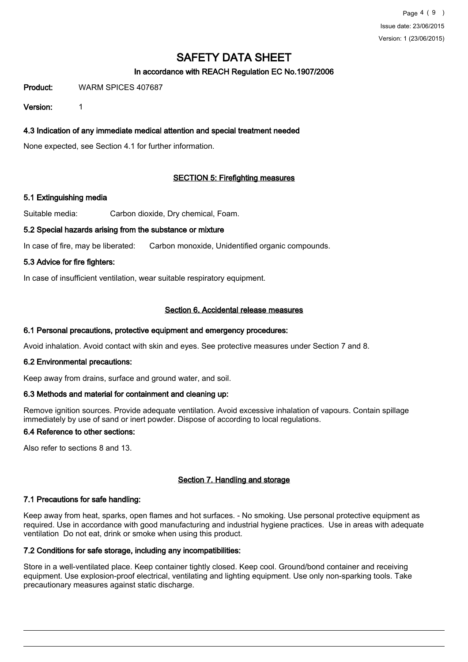# In accordance with REACH Regulation EC No.1907/2006

Product: WARM SPICES 407687

Version: 1

# 4.3 Indication of any immediate medical attention and special treatment needed

None expected, see Section 4.1 for further information.

# SECTION 5: Firefighting measures

#### 5.1 Extinguishing media

Suitable media: Carbon dioxide, Dry chemical, Foam.

#### 5.2 Special hazards arising from the substance or mixture

In case of fire, may be liberated: Carbon monoxide, Unidentified organic compounds.

#### 5.3 Advice for fire fighters:

In case of insufficient ventilation, wear suitable respiratory equipment.

#### Section 6. Accidental release measures

#### 6.1 Personal precautions, protective equipment and emergency procedures:

Avoid inhalation. Avoid contact with skin and eyes. See protective measures under Section 7 and 8.

#### 6.2 Environmental precautions:

Keep away from drains, surface and ground water, and soil.

#### 6.3 Methods and material for containment and cleaning up:

Remove ignition sources. Provide adequate ventilation. Avoid excessive inhalation of vapours. Contain spillage immediately by use of sand or inert powder. Dispose of according to local regulations.

#### 6.4 Reference to other sections:

Also refer to sections 8 and 13.

# Section 7. Handling and storage

# 7.1 Precautions for safe handling:

Keep away from heat, sparks, open flames and hot surfaces. - No smoking. Use personal protective equipment as required. Use in accordance with good manufacturing and industrial hygiene practices. Use in areas with adequate ventilation Do not eat, drink or smoke when using this product.

#### 7.2 Conditions for safe storage, including any incompatibilities:

Store in a well-ventilated place. Keep container tightly closed. Keep cool. Ground/bond container and receiving equipment. Use explosion-proof electrical, ventilating and lighting equipment. Use only non-sparking tools. Take precautionary measures against static discharge.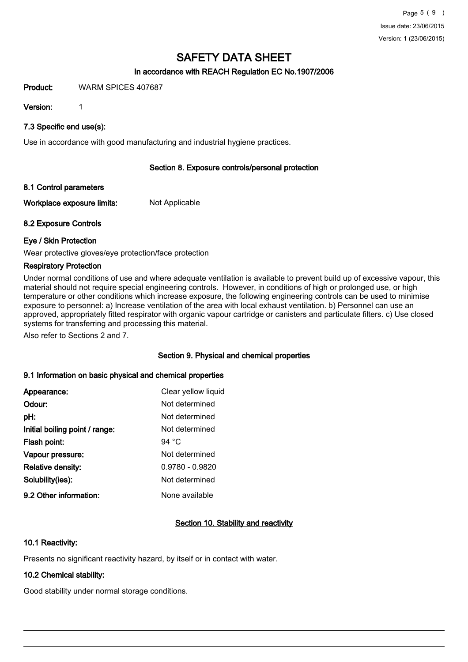# In accordance with REACH Regulation EC No.1907/2006

#### Product: WARM SPICES 407687

Version: 1

7.3 Specific end use(s):

Use in accordance with good manufacturing and industrial hygiene practices.

# Section 8. Exposure controls/personal protection

# 8.1 Control parameters

Workplace exposure limits: Not Applicable

# 8.2 Exposure Controls

# Eye / Skin Protection

Wear protective gloves/eye protection/face protection

# Respiratory Protection

Under normal conditions of use and where adequate ventilation is available to prevent build up of excessive vapour, this material should not require special engineering controls. However, in conditions of high or prolonged use, or high temperature or other conditions which increase exposure, the following engineering controls can be used to minimise exposure to personnel: a) Increase ventilation of the area with local exhaust ventilation. b) Personnel can use an approved, appropriately fitted respirator with organic vapour cartridge or canisters and particulate filters. c) Use closed systems for transferring and processing this material.

Also refer to Sections 2 and 7.

# Section 9. Physical and chemical properties

# 9.1 Information on basic physical and chemical properties

| Appearance:                    | Clear yellow liquid |
|--------------------------------|---------------------|
| Odour:                         | Not determined      |
| pH:                            | Not determined      |
| Initial boiling point / range: | Not determined      |
| Flash point:                   | 94 $^{\circ}$ C     |
| Vapour pressure:               | Not determined      |
| <b>Relative density:</b>       | $0.9780 - 0.9820$   |
| Solubility(ies):               | Not determined      |
| 9.2 Other information:         | None available      |

# Section 10. Stability and reactivity

# 10.1 Reactivity:

Presents no significant reactivity hazard, by itself or in contact with water.

# 10.2 Chemical stability:

Good stability under normal storage conditions.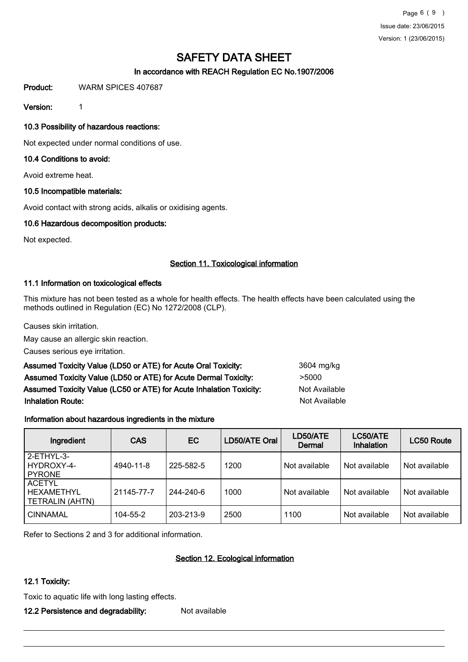Page 6 ( 9 ) Issue date: 23/06/2015 Version: 1 (23/06/2015)

# SAFETY DATA SHEET

# In accordance with REACH Regulation EC No.1907/2006

Product: WARM SPICES 407687

Version: 1

# 10.3 Possibility of hazardous reactions:

Not expected under normal conditions of use.

# 10.4 Conditions to avoid:

Avoid extreme heat.

# 10.5 Incompatible materials:

Avoid contact with strong acids, alkalis or oxidising agents.

# 10.6 Hazardous decomposition products:

Not expected.

# Section 11. Toxicological information

#### 11.1 Information on toxicological effects

This mixture has not been tested as a whole for health effects. The health effects have been calculated using the methods outlined in Regulation (EC) No 1272/2008 (CLP).

Causes skin irritation.

May cause an allergic skin reaction.

Causes serious eye irritation.

| Assumed Toxicity Value (LD50 or ATE) for Acute Oral Toxicity:       | 3604 n |
|---------------------------------------------------------------------|--------|
| Assumed Toxicity Value (LD50 or ATE) for Acute Dermal Toxicity:     | >5000  |
| Assumed Toxicity Value (LC50 or ATE) for Acute Inhalation Toxicity: | Not Av |
| <b>Inhalation Route:</b>                                            | Not A  |

# 3604 mg/kg **Not Available** Not Available

# Information about hazardous ingredients in the mixture

| Ingredient                                                   | <b>CAS</b>     | EC        | LD50/ATE Oral | LD50/ATE<br>Dermal | LC50/ATE<br><b>Inhalation</b> | <b>LC50 Route</b> |
|--------------------------------------------------------------|----------------|-----------|---------------|--------------------|-------------------------------|-------------------|
| 2-ETHYL-3-<br>HYDROXY-4-<br><b>PYRONE</b>                    | 4940-11-8      | 225-582-5 | 1200          | Not available      | Not available                 | Not available     |
| <b>ACETYL</b><br><b>HEXAMETHYL</b><br><b>TETRALIN (AHTN)</b> | 21145-77-7     | 244-240-6 | 1000          | Not available      | Not available                 | Not available     |
| <b>CINNAMAL</b>                                              | $104 - 55 - 2$ | 203-213-9 | 2500          | 1100               | Not available                 | Not available     |

Refer to Sections 2 and 3 for additional information.

# Section 12. Ecological information

# 12.1 Toxicity:

Toxic to aquatic life with long lasting effects.

# 12.2 Persistence and degradability: Not available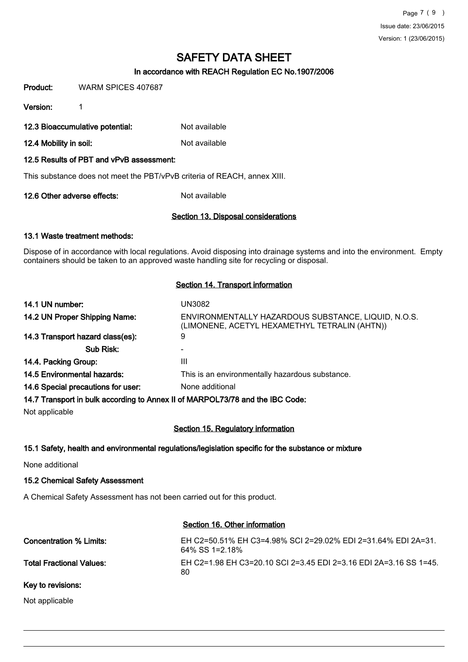# In accordance with REACH Regulation EC No.1907/2006

Product: WARM SPICES 407687

Version: 1

12.3 Bioaccumulative potential: Not available

12.4 Mobility in soil: Not available

#### 12.5 Results of PBT and vPvB assessment:

This substance does not meet the PBT/vPvB criteria of REACH, annex XIII.

12.6 Other adverse effects: Not available

#### Section 13. Disposal considerations

#### 13.1 Waste treatment methods:

Dispose of in accordance with local regulations. Avoid disposing into drainage systems and into the environment. Empty containers should be taken to an approved waste handling site for recycling or disposal.

#### Section 14. Transport information

| 14.1 UN number:                                                               | UN3082                                                                                               |
|-------------------------------------------------------------------------------|------------------------------------------------------------------------------------------------------|
| 14.2 UN Proper Shipping Name:                                                 | ENVIRONMENTALLY HAZARDOUS SUBSTANCE, LIQUID, N.O.S.<br>(LIMONENE, ACETYL HEXAMETHYL TETRALIN (AHTN)) |
| 14.3 Transport hazard class(es):                                              | 9                                                                                                    |
| Sub Risk:                                                                     |                                                                                                      |
| 14.4. Packing Group:                                                          | Ш                                                                                                    |
| 14.5 Environmental hazards:                                                   | This is an environmentally hazardous substance.                                                      |
| 14.6 Special precautions for user:                                            | None additional                                                                                      |
| 14.7 Transport in bulk according to Annex II of MARPOL73/78 and the IBC Code: |                                                                                                      |

Not applicable

# Section 15. Regulatory information

#### 15.1 Safety, health and environmental regulations/legislation specific for the substance or mixture

None additional

#### 15.2 Chemical Safety Assessment

A Chemical Safety Assessment has not been carried out for this product.

#### Section 16. Other information

| Concentration % Limits:  | EH C2=50.51% EH C3=4.98% SCI 2=29.02% EDI 2=31.64% EDI 2A=31.<br>64% SS 1=2.18% |
|--------------------------|---------------------------------------------------------------------------------|
| Total Fractional Values: | EH C2=1.98 EH C3=20.10 SCI 2=3.45 EDI 2=3.16 EDI 2A=3.16 SS 1=45.<br>80         |
| Key to revisions:        |                                                                                 |

# Not applicable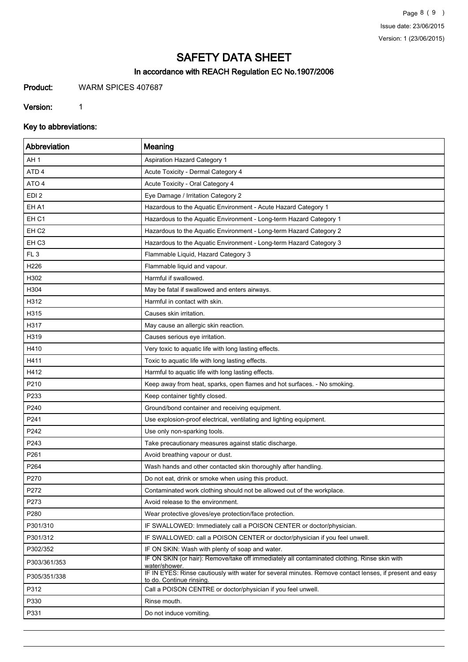Page 8 ( 9 ) Issue date: 23/06/2015 Version: 1 (23/06/2015)

# SAFETY DATA SHEET

# In accordance with REACH Regulation EC No.1907/2006

Product: WARM SPICES 407687

Version: 1

Key to abbreviations:

| Abbreviation     | Meaning                                                                                                                             |
|------------------|-------------------------------------------------------------------------------------------------------------------------------------|
| AH <sub>1</sub>  | Aspiration Hazard Category 1                                                                                                        |
| ATD <sub>4</sub> | Acute Toxicity - Dermal Category 4                                                                                                  |
| ATO 4            | Acute Toxicity - Oral Category 4                                                                                                    |
| EDI <sub>2</sub> | Eye Damage / Irritation Category 2                                                                                                  |
| EH A1            | Hazardous to the Aquatic Environment - Acute Hazard Category 1                                                                      |
| EH <sub>C1</sub> | Hazardous to the Aquatic Environment - Long-term Hazard Category 1                                                                  |
| EH <sub>C2</sub> | Hazardous to the Aquatic Environment - Long-term Hazard Category 2                                                                  |
| EH <sub>C3</sub> | Hazardous to the Aquatic Environment - Long-term Hazard Category 3                                                                  |
| FL <sub>3</sub>  | Flammable Liquid, Hazard Category 3                                                                                                 |
| H226             | Flammable liquid and vapour.                                                                                                        |
| H302             | Harmful if swallowed.                                                                                                               |
| H304             | May be fatal if swallowed and enters airways.                                                                                       |
| H312             | Harmful in contact with skin.                                                                                                       |
| H315             | Causes skin irritation.                                                                                                             |
| H317             | May cause an allergic skin reaction.                                                                                                |
| H319             | Causes serious eye irritation.                                                                                                      |
| H410             | Very toxic to aquatic life with long lasting effects.                                                                               |
| H411             | Toxic to aquatic life with long lasting effects.                                                                                    |
| H412             | Harmful to aquatic life with long lasting effects.                                                                                  |
| P210             | Keep away from heat, sparks, open flames and hot surfaces. - No smoking.                                                            |
| P233             | Keep container tightly closed.                                                                                                      |
| P240             | Ground/bond container and receiving equipment.                                                                                      |
| P241             | Use explosion-proof electrical, ventilating and lighting equipment.                                                                 |
| P242             | Use only non-sparking tools.                                                                                                        |
| P243             | Take precautionary measures against static discharge.                                                                               |
| P261             | Avoid breathing vapour or dust.                                                                                                     |
| P264             | Wash hands and other contacted skin thoroughly after handling.                                                                      |
| P270             | Do not eat, drink or smoke when using this product.                                                                                 |
| P272             | Contaminated work clothing should not be allowed out of the workplace.                                                              |
| P273             | Avoid release to the environment.                                                                                                   |
| P280             | Wear protective gloves/eye protection/face protection.                                                                              |
| P301/310         | IF SWALLOWED: Immediately call a POISON CENTER or doctor/physician.                                                                 |
| P301/312         | IF SWALLOWED: call a POISON CENTER or doctor/physician if you feel unwell.                                                          |
| P302/352         | IF ON SKIN: Wash with plenty of soap and water.                                                                                     |
| P303/361/353     | IF ON SKIN (or hair): Remove/take off immediately all contaminated clothing. Rinse skin with<br>water/shower.                       |
| P305/351/338     | IF IN EYES: Rinse cautiously with water for several minutes. Remove contact lenses, if present and easy<br>to do. Continue rinsing. |
| P312             | Call a POISON CENTRE or doctor/physician if you feel unwell.                                                                        |
| P330             | Rinse mouth.                                                                                                                        |
| P331             | Do not induce vomiting.                                                                                                             |